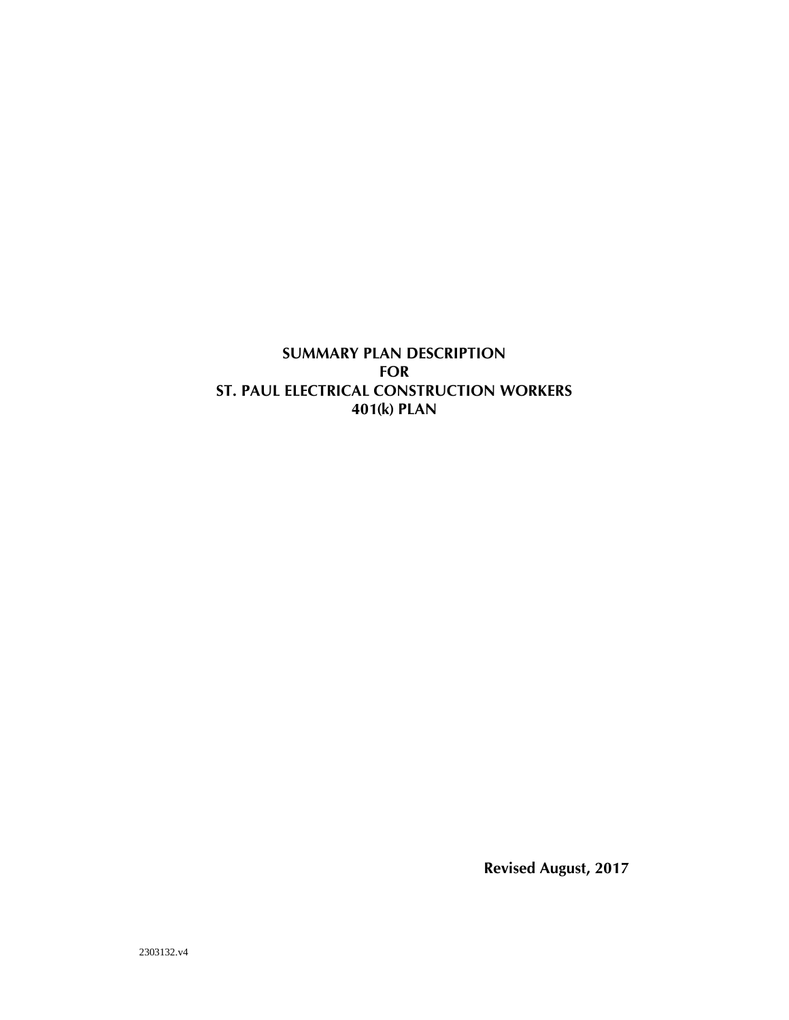**SUMMARY PLAN DESCRIPTION FOR ST. PAUL ELECTRICAL CONSTRUCTION WORKERS 401(k) PLAN**

**Revised August, 2017**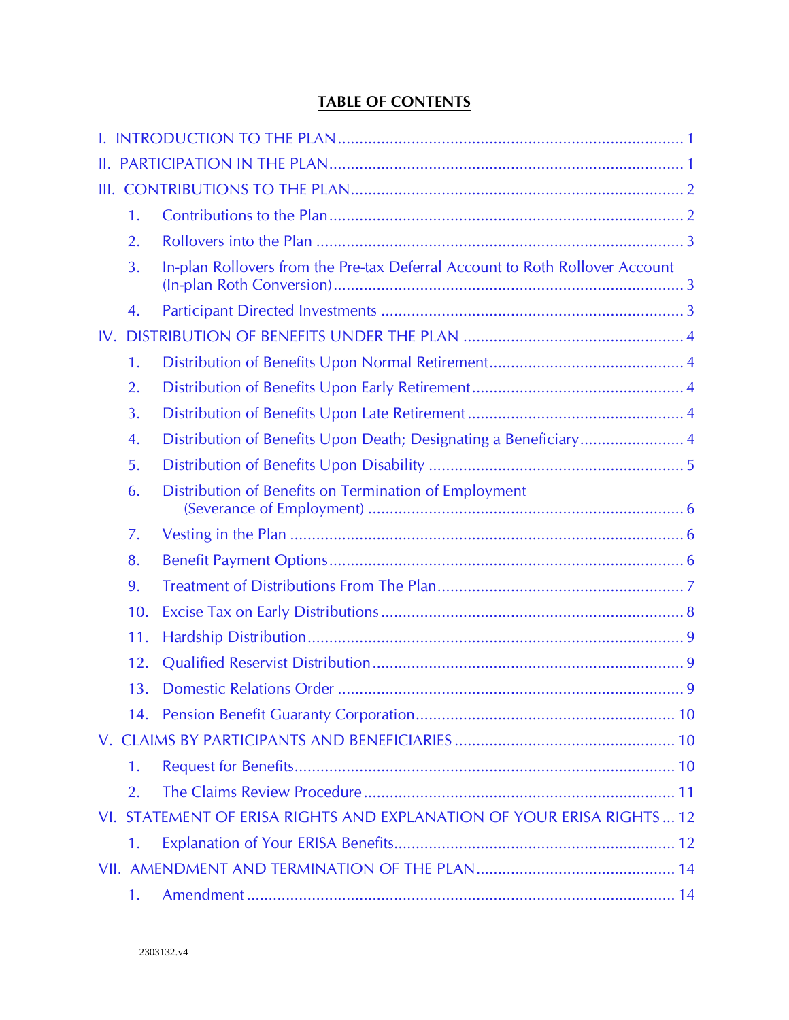# **TABLE OF CONTENTS**

| Ш.  |                |                                                                              |  |
|-----|----------------|------------------------------------------------------------------------------|--|
|     |                |                                                                              |  |
|     | 1.             |                                                                              |  |
|     | 2.             |                                                                              |  |
|     | 3.             | In-plan Rollovers from the Pre-tax Deferral Account to Roth Rollover Account |  |
|     | 4.             |                                                                              |  |
| IV. |                |                                                                              |  |
|     | 1.             |                                                                              |  |
|     | 2.             |                                                                              |  |
|     | 3.             |                                                                              |  |
|     | 4.             | Distribution of Benefits Upon Death; Designating a Beneficiary4              |  |
|     | 5.             |                                                                              |  |
|     | 6.             | Distribution of Benefits on Termination of Employment                        |  |
|     | 7.             |                                                                              |  |
|     | 8.             |                                                                              |  |
|     | 9.             |                                                                              |  |
|     | 10.            |                                                                              |  |
|     | 11.            |                                                                              |  |
|     | 12.            |                                                                              |  |
|     | 13.            |                                                                              |  |
|     |                |                                                                              |  |
|     |                |                                                                              |  |
|     | 1 <sub>1</sub> |                                                                              |  |
|     | 2.             |                                                                              |  |
|     |                | VI. STATEMENT OF ERISA RIGHTS AND EXPLANATION OF YOUR ERISA RIGHTS  12       |  |
|     | 1.             |                                                                              |  |
|     |                |                                                                              |  |
|     | 1.             |                                                                              |  |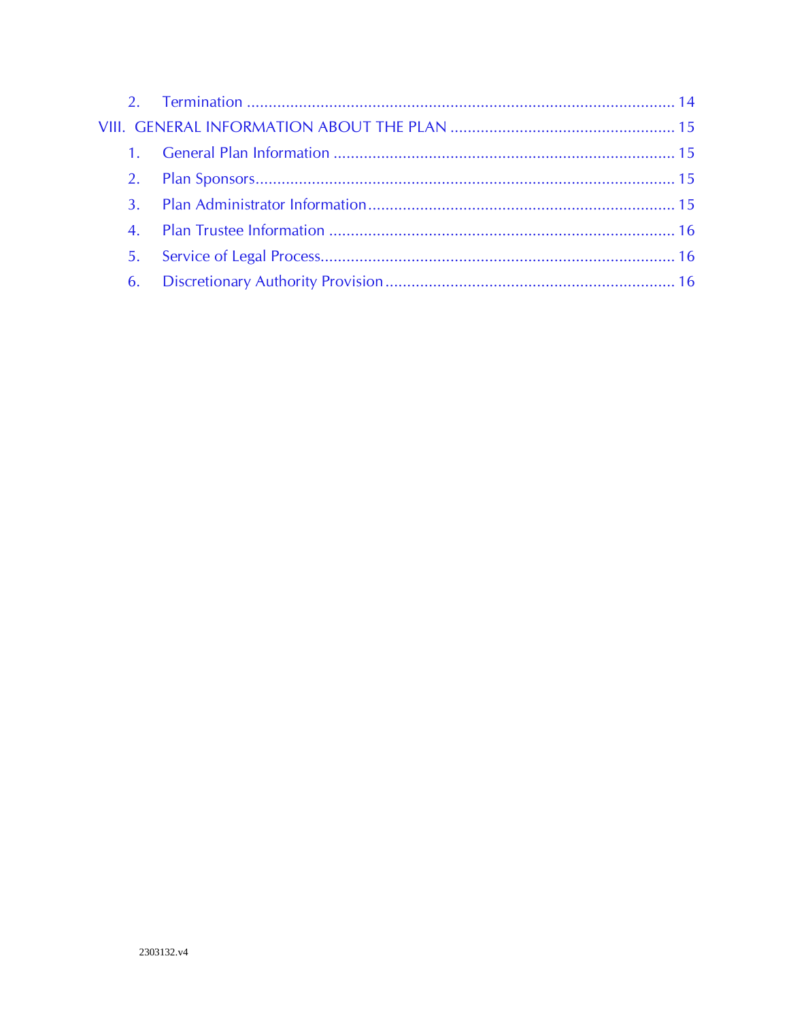| $1 \quad$ |  |
|-----------|--|
|           |  |
|           |  |
|           |  |
| 5.        |  |
| 6.        |  |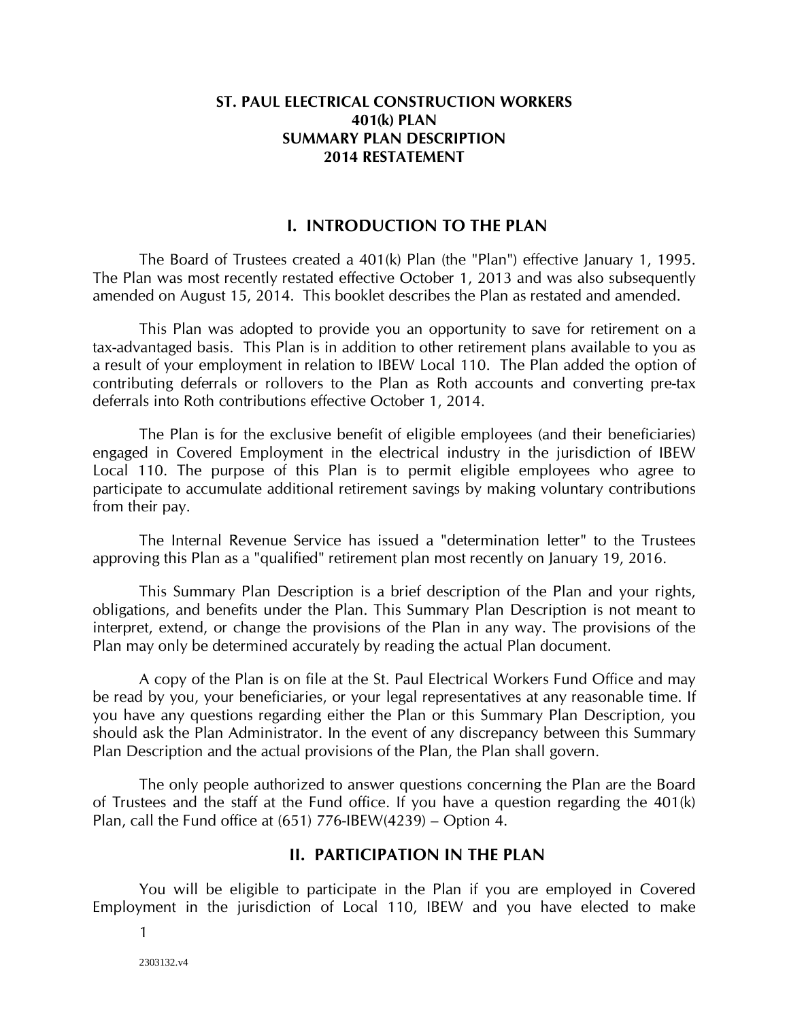#### **ST. PAUL ELECTRICAL CONSTRUCTION WORKERS 401(k) PLAN SUMMARY PLAN DESCRIPTION 2014 RESTATEMENT**

#### **I. INTRODUCTION TO THE PLAN**

<span id="page-3-0"></span>The Board of Trustees created a 401(k) Plan (the "Plan") effective January 1, 1995. The Plan was most recently restated effective October 1, 2013 and was also subsequently amended on August 15, 2014. This booklet describes the Plan as restated and amended.

This Plan was adopted to provide you an opportunity to save for retirement on a tax-advantaged basis. This Plan is in addition to other retirement plans available to you as a result of your employment in relation to IBEW Local 110. The Plan added the option of contributing deferrals or rollovers to the Plan as Roth accounts and converting pre-tax deferrals into Roth contributions effective October 1, 2014.

The Plan is for the exclusive benefit of eligible employees (and their beneficiaries) engaged in Covered Employment in the electrical industry in the jurisdiction of IBEW Local 110. The purpose of this Plan is to permit eligible employees who agree to participate to accumulate additional retirement savings by making voluntary contributions from their pay.

The Internal Revenue Service has issued a "determination letter" to the Trustees approving this Plan as a "qualified" retirement plan most recently on January 19, 2016.

This Summary Plan Description is a brief description of the Plan and your rights, obligations, and benefits under the Plan. This Summary Plan Description is not meant to interpret, extend, or change the provisions of the Plan in any way. The provisions of the Plan may only be determined accurately by reading the actual Plan document.

A copy of the Plan is on file at the St. Paul Electrical Workers Fund Office and may be read by you, your beneficiaries, or your legal representatives at any reasonable time. If you have any questions regarding either the Plan or this Summary Plan Description, you should ask the Plan Administrator. In the event of any discrepancy between this Summary Plan Description and the actual provisions of the Plan, the Plan shall govern.

The only people authorized to answer questions concerning the Plan are the Board of Trustees and the staff at the Fund office. If you have a question regarding the 401(k) Plan, call the Fund office at (651) 776-IBEW(4239) – Option 4.

### **II. PARTICIPATION IN THE PLAN**

<span id="page-3-1"></span>You will be eligible to participate in the Plan if you are employed in Covered Employment in the jurisdiction of Local 110, IBEW and you have elected to make

1

2303132.v4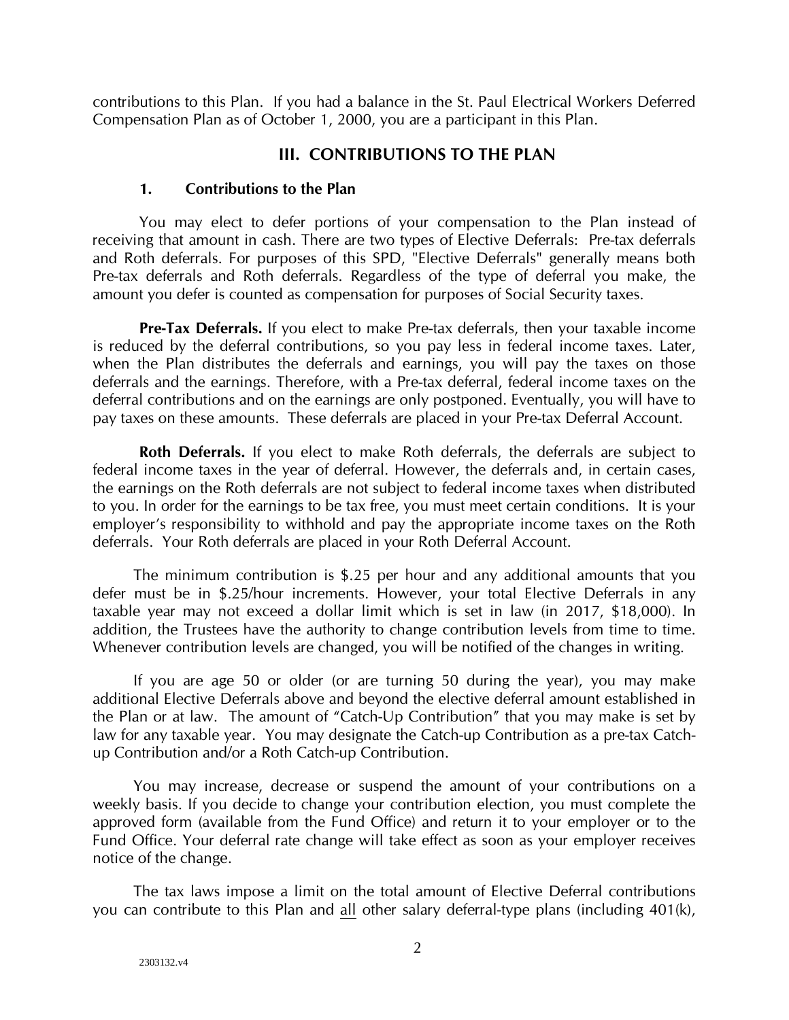<span id="page-4-0"></span>contributions to this Plan. If you had a balance in the St. Paul Electrical Workers Deferred Compensation Plan as of October 1, 2000, you are a participant in this Plan.

## **III. CONTRIBUTIONS TO THE PLAN**

### **1. Contributions to the Plan**

<span id="page-4-1"></span>You may elect to defer portions of your compensation to the Plan instead of receiving that amount in cash. There are two types of Elective Deferrals: Pre-tax deferrals and Roth deferrals. For purposes of this SPD, "Elective Deferrals" generally means both Pre-tax deferrals and Roth deferrals. Regardless of the type of deferral you make, the amount you defer is counted as compensation for purposes of Social Security taxes.

**Pre-Tax Deferrals.** If you elect to make Pre-tax deferrals, then your taxable income is reduced by the deferral contributions, so you pay less in federal income taxes. Later, when the Plan distributes the deferrals and earnings, you will pay the taxes on those deferrals and the earnings. Therefore, with a Pre-tax deferral, federal income taxes on the deferral contributions and on the earnings are only postponed. Eventually, you will have to pay taxes on these amounts. These deferrals are placed in your Pre-tax Deferral Account.

**Roth Deferrals.** If you elect to make Roth deferrals, the deferrals are subject to federal income taxes in the year of deferral. However, the deferrals and, in certain cases, the earnings on the Roth deferrals are not subject to federal income taxes when distributed to you. In order for the earnings to be tax free, you must meet certain conditions. It is your employer's responsibility to withhold and pay the appropriate income taxes on the Roth deferrals. Your Roth deferrals are placed in your Roth Deferral Account.

The minimum contribution is \$.25 per hour and any additional amounts that you defer must be in \$.25/hour increments. However, your total Elective Deferrals in any taxable year may not exceed a dollar limit which is set in law (in 2017, \$18,000). In addition, the Trustees have the authority to change contribution levels from time to time. Whenever contribution levels are changed, you will be notified of the changes in writing.

If you are age 50 or older (or are turning 50 during the year), you may make additional Elective Deferrals above and beyond the elective deferral amount established in the Plan or at law. The amount of "Catch-Up Contribution" that you may make is set by law for any taxable year. You may designate the Catch-up Contribution as a pre-tax Catchup Contribution and/or a Roth Catch-up Contribution.

You may increase, decrease or suspend the amount of your contributions on a weekly basis. If you decide to change your contribution election, you must complete the approved form (available from the Fund Office) and return it to your employer or to the Fund Office. Your deferral rate change will take effect as soon as your employer receives notice of the change.

The tax laws impose a limit on the total amount of Elective Deferral contributions you can contribute to this Plan and all other salary deferral-type plans (including 401(k),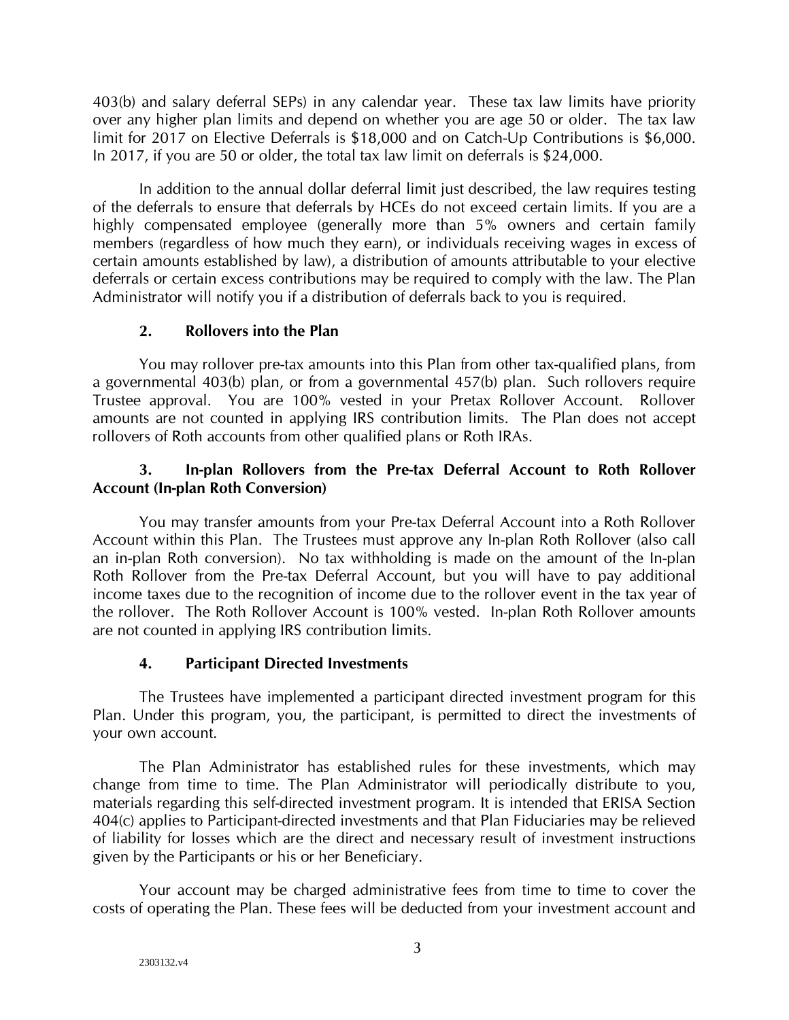403(b) and salary deferral SEPs) in any calendar year. These tax law limits have priority over any higher plan limits and depend on whether you are age 50 or older. The tax law limit for 2017 on Elective Deferrals is \$18,000 and on Catch-Up Contributions is \$6,000. In 2017, if you are 50 or older, the total tax law limit on deferrals is \$24,000.

In addition to the annual dollar deferral limit just described, the law requires testing of the deferrals to ensure that deferrals by HCEs do not exceed certain limits. If you are a highly compensated employee (generally more than 5% owners and certain family members (regardless of how much they earn), or individuals receiving wages in excess of certain amounts established by law), a distribution of amounts attributable to your elective deferrals or certain excess contributions may be required to comply with the law. The Plan Administrator will notify you if a distribution of deferrals back to you is required.

## **2. Rollovers into the Plan**

<span id="page-5-0"></span>You may rollover pre-tax amounts into this Plan from other tax-qualified plans, from a governmental 403(b) plan, or from a governmental 457(b) plan. Such rollovers require Trustee approval. You are 100% vested in your Pretax Rollover Account. Rollover amounts are not counted in applying IRS contribution limits. The Plan does not accept rollovers of Roth accounts from other qualified plans or Roth IRAs.

## <span id="page-5-1"></span>**3. In-plan Rollovers from the Pre-tax Deferral Account to Roth Rollover Account (In-plan Roth Conversion)**

You may transfer amounts from your Pre-tax Deferral Account into a Roth Rollover Account within this Plan. The Trustees must approve any In-plan Roth Rollover (also call an in-plan Roth conversion). No tax withholding is made on the amount of the In-plan Roth Rollover from the Pre-tax Deferral Account, but you will have to pay additional income taxes due to the recognition of income due to the rollover event in the tax year of the rollover. The Roth Rollover Account is 100% vested. In-plan Roth Rollover amounts are not counted in applying IRS contribution limits.

## **4. Participant Directed Investments**

<span id="page-5-2"></span>The Trustees have implemented a participant directed investment program for this Plan. Under this program, you, the participant, is permitted to direct the investments of your own account.

The Plan Administrator has established rules for these investments, which may change from time to time. The Plan Administrator will periodically distribute to you, materials regarding this self-directed investment program. It is intended that ERISA Section 404(c) applies to Participant-directed investments and that Plan Fiduciaries may be relieved of liability for losses which are the direct and necessary result of investment instructions given by the Participants or his or her Beneficiary.

Your account may be charged administrative fees from time to time to cover the costs of operating the Plan. These fees will be deducted from your investment account and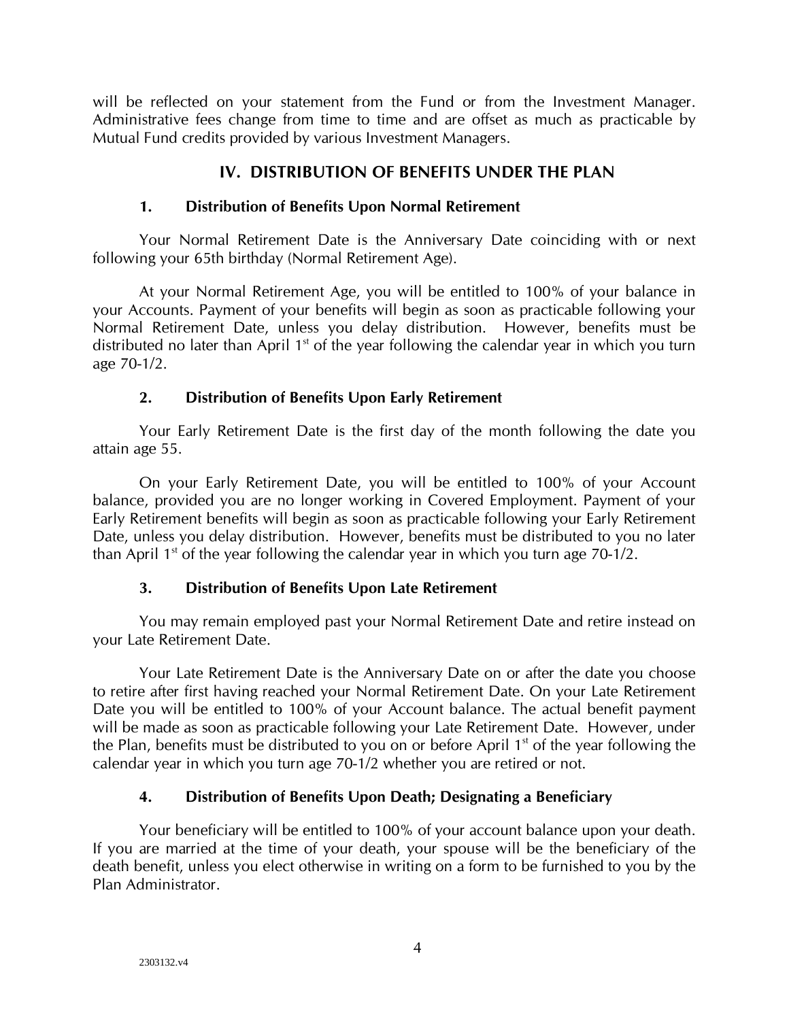will be reflected on your statement from the Fund or from the Investment Manager. Administrative fees change from time to time and are offset as much as practicable by Mutual Fund credits provided by various Investment Managers.

## **IV. DISTRIBUTION OF BENEFITS UNDER THE PLAN**

## <span id="page-6-0"></span>**1. Distribution of Benefits Upon Normal Retirement**

<span id="page-6-1"></span>Your Normal Retirement Date is the Anniversary Date coinciding with or next following your 65th birthday (Normal Retirement Age).

At your Normal Retirement Age, you will be entitled to 100% of your balance in your Accounts. Payment of your benefits will begin as soon as practicable following your Normal Retirement Date, unless you delay distribution. However, benefits must be distributed no later than April  $1<sup>st</sup>$  of the year following the calendar year in which you turn age 70-1/2.

## **2. Distribution of Benefits Upon Early Retirement**

<span id="page-6-2"></span>Your Early Retirement Date is the first day of the month following the date you attain age 55.

On your Early Retirement Date, you will be entitled to 100% of your Account balance, provided you are no longer working in Covered Employment. Payment of your Early Retirement benefits will begin as soon as practicable following your Early Retirement Date, unless you delay distribution. However, benefits must be distributed to you no later than April  $1<sup>st</sup>$  of the year following the calendar year in which you turn age  $70-1/2$ .

## **3. Distribution of Benefits Upon Late Retirement**

<span id="page-6-3"></span>You may remain employed past your Normal Retirement Date and retire instead on your Late Retirement Date.

Your Late Retirement Date is the Anniversary Date on or after the date you choose to retire after first having reached your Normal Retirement Date. On your Late Retirement Date you will be entitled to 100% of your Account balance. The actual benefit payment will be made as soon as practicable following your Late Retirement Date. However, under the Plan, benefits must be distributed to you on or before April  $1<sup>st</sup>$  of the year following the calendar year in which you turn age 70-1/2 whether you are retired or not.

## **4. Distribution of Benefits Upon Death; Designating a Beneficiary**

<span id="page-6-4"></span>Your beneficiary will be entitled to 100% of your account balance upon your death. If you are married at the time of your death, your spouse will be the beneficiary of the death benefit, unless you elect otherwise in writing on a form to be furnished to you by the Plan Administrator.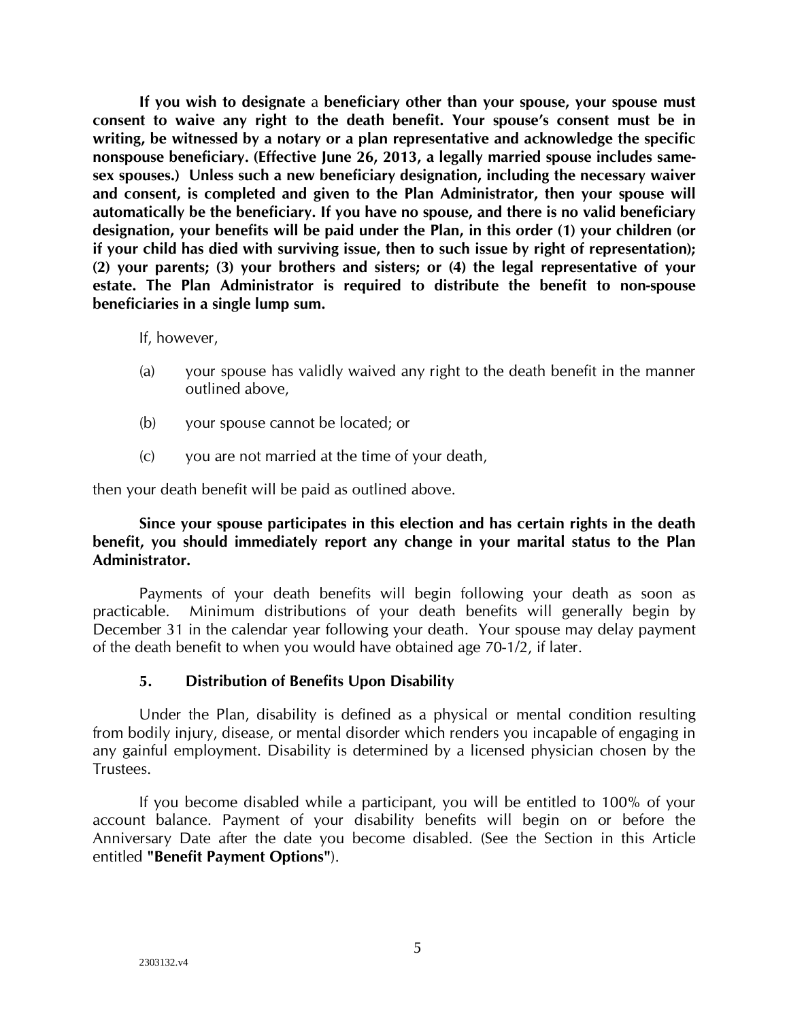**If you wish to designate** a **beneficiary other than your spouse, your spouse must consent to waive any right to the death benefit. Your spouse's consent must be in writing, be witnessed by a notary or a plan representative and acknowledge the specific nonspouse beneficiary. (Effective June 26, 2013, a legally married spouse includes samesex spouses.) Unless such a new beneficiary designation, including the necessary waiver and consent, is completed and given to the Plan Administrator, then your spouse will automatically be the beneficiary. If you have no spouse, and there is no valid beneficiary designation, your benefits will be paid under the Plan, in this order (1) your children (or if your child has died with surviving issue, then to such issue by right of representation); (2) your parents; (3) your brothers and sisters; or (4) the legal representative of your estate. The Plan Administrator is required to distribute the benefit to non-spouse beneficiaries in a single lump sum.**

If, however,

- (a) your spouse has validly waived any right to the death benefit in the manner outlined above,
- (b) your spouse cannot be located; or
- (c) you are not married at the time of your death,

then your death benefit will be paid as outlined above.

## **Since your spouse participates in this election and has certain rights in the death benefit, you should immediately report any change in your marital status to the Plan Administrator.**

Payments of your death benefits will begin following your death as soon as practicable. Minimum distributions of your death benefits will generally begin by December 31 in the calendar year following your death. Your spouse may delay payment of the death benefit to when you would have obtained age 70-1/2, if later.

## **5. Distribution of Benefits Upon Disability**

<span id="page-7-0"></span>Under the Plan, disability is defined as a physical or mental condition resulting from bodily injury, disease, or mental disorder which renders you incapable of engaging in any gainful employment. Disability is determined by a licensed physician chosen by the Trustees.

If you become disabled while a participant, you will be entitled to 100% of your account balance. Payment of your disability benefits will begin on or before the Anniversary Date after the date you become disabled. (See the Section in this Article entitled **"Benefit Payment Options"**).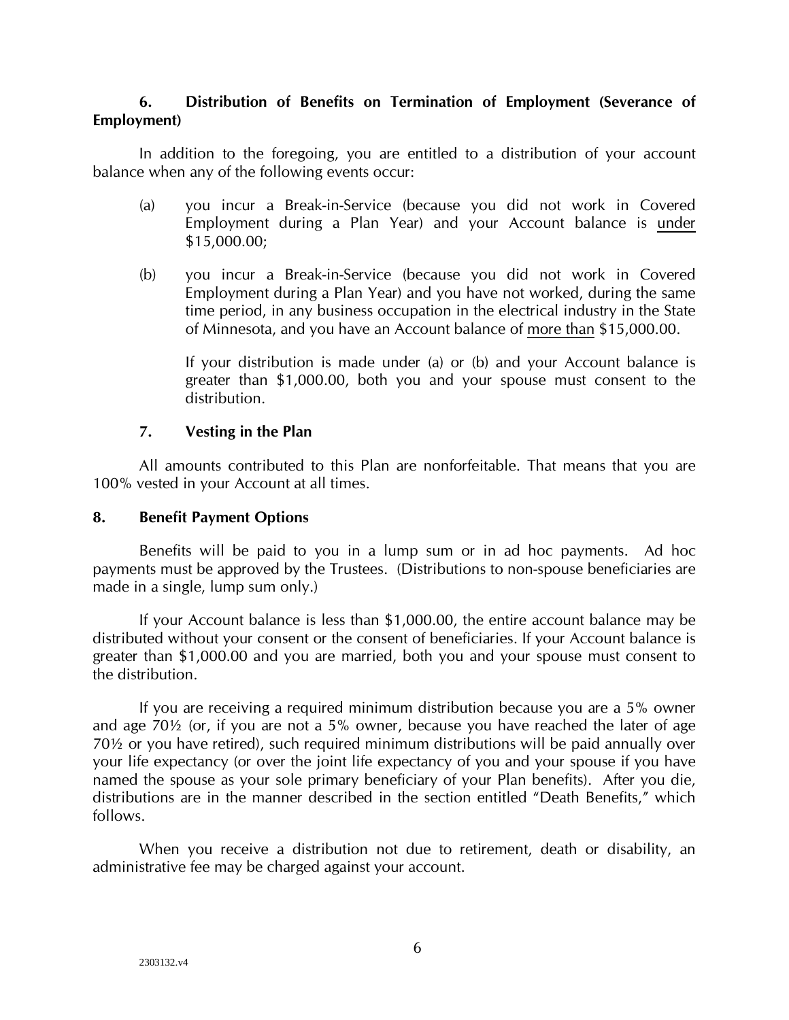## <span id="page-8-0"></span>**6. Distribution of Benefits on Termination of Employment (Severance of Employment)**

In addition to the foregoing, you are entitled to a distribution of your account balance when any of the following events occur:

- (a) you incur a Break-in-Service (because you did not work in Covered Employment during a Plan Year) and your Account balance is under \$15,000.00;
- (b) you incur a Break-in-Service (because you did not work in Covered Employment during a Plan Year) and you have not worked, during the same time period, in any business occupation in the electrical industry in the State of Minnesota, and you have an Account balance of more than \$15,000.00.

If your distribution is made under (a) or (b) and your Account balance is greater than \$1,000.00, both you and your spouse must consent to the distribution.

### **7. Vesting in the Plan**

<span id="page-8-1"></span>All amounts contributed to this Plan are nonforfeitable. That means that you are 100% vested in your Account at all times.

#### <span id="page-8-2"></span>**8. Benefit Payment Options**

Benefits will be paid to you in a lump sum or in ad hoc payments. Ad hoc payments must be approved by the Trustees. (Distributions to non-spouse beneficiaries are made in a single, lump sum only.)

If your Account balance is less than \$1,000.00, the entire account balance may be distributed without your consent or the consent of beneficiaries. If your Account balance is greater than \$1,000.00 and you are married, both you and your spouse must consent to the distribution.

If you are receiving a required minimum distribution because you are a 5% owner and age 70½ (or, if you are not a 5% owner, because you have reached the later of age 70½ or you have retired), such required minimum distributions will be paid annually over your life expectancy (or over the joint life expectancy of you and your spouse if you have named the spouse as your sole primary beneficiary of your Plan benefits). After you die, distributions are in the manner described in the section entitled "Death Benefits," which follows.

When you receive a distribution not due to retirement, death or disability, an administrative fee may be charged against your account.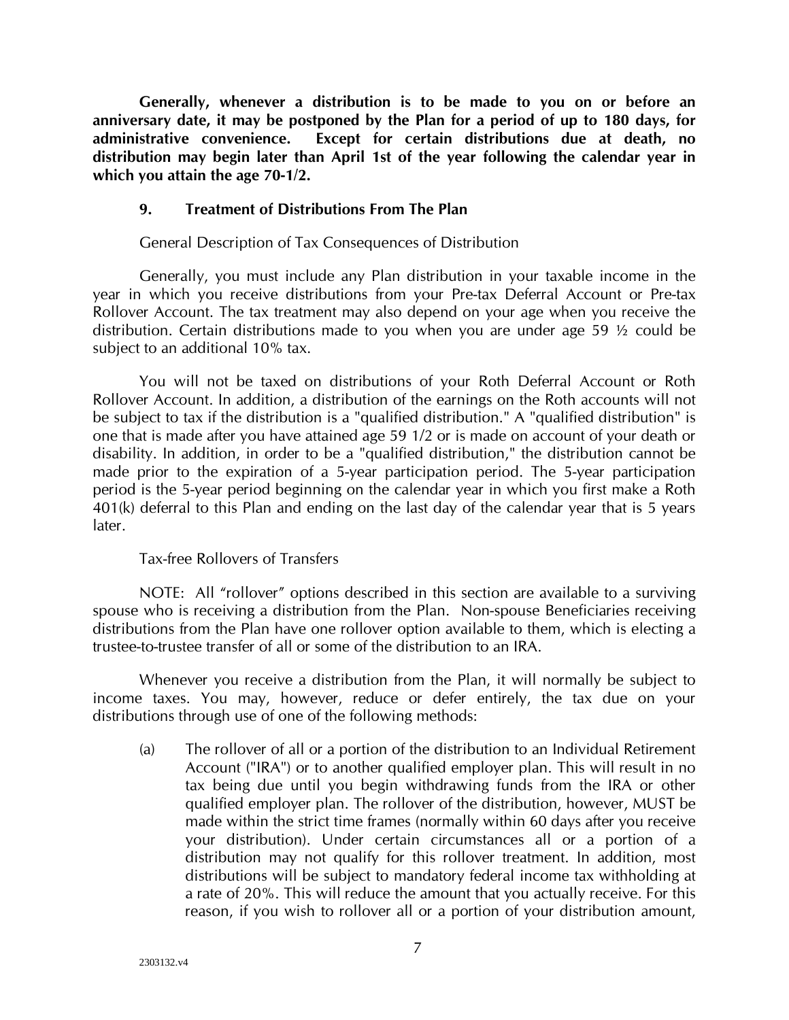**Generally, whenever a distribution is to be made to you on or before an anniversary date, it may be postponed by the Plan for a period of up to 180 days, for administrative convenience. Except for certain distributions due at death, no distribution may begin later than April 1st of the year following the calendar year in which you attain the age 70-1/2.**

### <span id="page-9-0"></span>**9. Treatment of Distributions From The Plan**

General Description of Tax Consequences of Distribution

Generally, you must include any Plan distribution in your taxable income in the year in which you receive distributions from your Pre-tax Deferral Account or Pre-tax Rollover Account. The tax treatment may also depend on your age when you receive the distribution. Certain distributions made to you when you are under age 59 ½ could be subject to an additional 10% tax.

You will not be taxed on distributions of your Roth Deferral Account or Roth Rollover Account. In addition, a distribution of the earnings on the Roth accounts will not be subject to tax if the distribution is a "qualified distribution." A "qualified distribution" is one that is made after you have attained age 59 1/2 or is made on account of your death or disability. In addition, in order to be a "qualified distribution," the distribution cannot be made prior to the expiration of a 5-year participation period. The 5-year participation period is the 5-year period beginning on the calendar year in which you first make a Roth 401(k) deferral to this Plan and ending on the last day of the calendar year that is 5 years later.

#### Tax-free Rollovers of Transfers

NOTE: All "rollover" options described in this section are available to a surviving spouse who is receiving a distribution from the Plan. Non-spouse Beneficiaries receiving distributions from the Plan have one rollover option available to them, which is electing a trustee-to-trustee transfer of all or some of the distribution to an IRA.

Whenever you receive a distribution from the Plan, it will normally be subject to income taxes. You may, however, reduce or defer entirely, the tax due on your distributions through use of one of the following methods:

(a) The rollover of all or a portion of the distribution to an Individual Retirement Account ("IRA") or to another qualified employer plan. This will result in no tax being due until you begin withdrawing funds from the IRA or other qualified employer plan. The rollover of the distribution, however, MUST be made within the strict time frames (normally within 60 days after you receive your distribution). Under certain circumstances all or a portion of a distribution may not qualify for this rollover treatment. In addition, most distributions will be subject to mandatory federal income tax withholding at a rate of 20%. This will reduce the amount that you actually receive. For this reason, if you wish to rollover all or a portion of your distribution amount,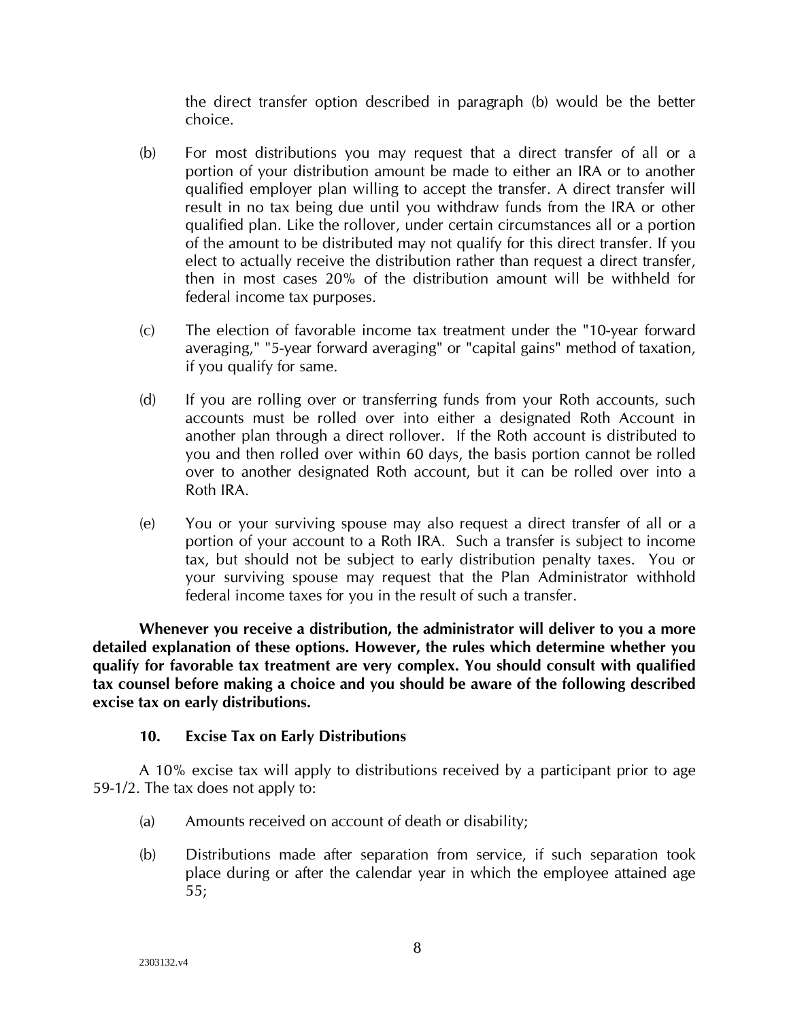the direct transfer option described in paragraph (b) would be the better choice.

- (b) For most distributions you may request that a direct transfer of all or a portion of your distribution amount be made to either an IRA or to another qualified employer plan willing to accept the transfer. A direct transfer will result in no tax being due until you withdraw funds from the IRA or other qualified plan. Like the rollover, under certain circumstances all or a portion of the amount to be distributed may not qualify for this direct transfer. If you elect to actually receive the distribution rather than request a direct transfer, then in most cases 20% of the distribution amount will be withheld for federal income tax purposes.
- (c) The election of favorable income tax treatment under the "10-year forward averaging," "5-year forward averaging" or "capital gains" method of taxation, if you qualify for same.
- (d) If you are rolling over or transferring funds from your Roth accounts, such accounts must be rolled over into either a designated Roth Account in another plan through a direct rollover. If the Roth account is distributed to you and then rolled over within 60 days, the basis portion cannot be rolled over to another designated Roth account, but it can be rolled over into a Roth IRA.
- (e) You or your surviving spouse may also request a direct transfer of all or a portion of your account to a Roth IRA. Such a transfer is subject to income tax, but should not be subject to early distribution penalty taxes. You or your surviving spouse may request that the Plan Administrator withhold federal income taxes for you in the result of such a transfer.

**Whenever you receive a distribution, the administrator will deliver to you a more detailed explanation of these options. However, the rules which determine whether you qualify for favorable tax treatment are very complex. You should consult with qualified tax counsel before making a choice and you should be aware of the following described excise tax on early distributions.**

## **10. Excise Tax on Early Distributions**

<span id="page-10-0"></span>A 10% excise tax will apply to distributions received by a participant prior to age 59-1/2. The tax does not apply to:

- (a) Amounts received on account of death or disability;
- (b) Distributions made after separation from service, if such separation took place during or after the calendar year in which the employee attained age 55;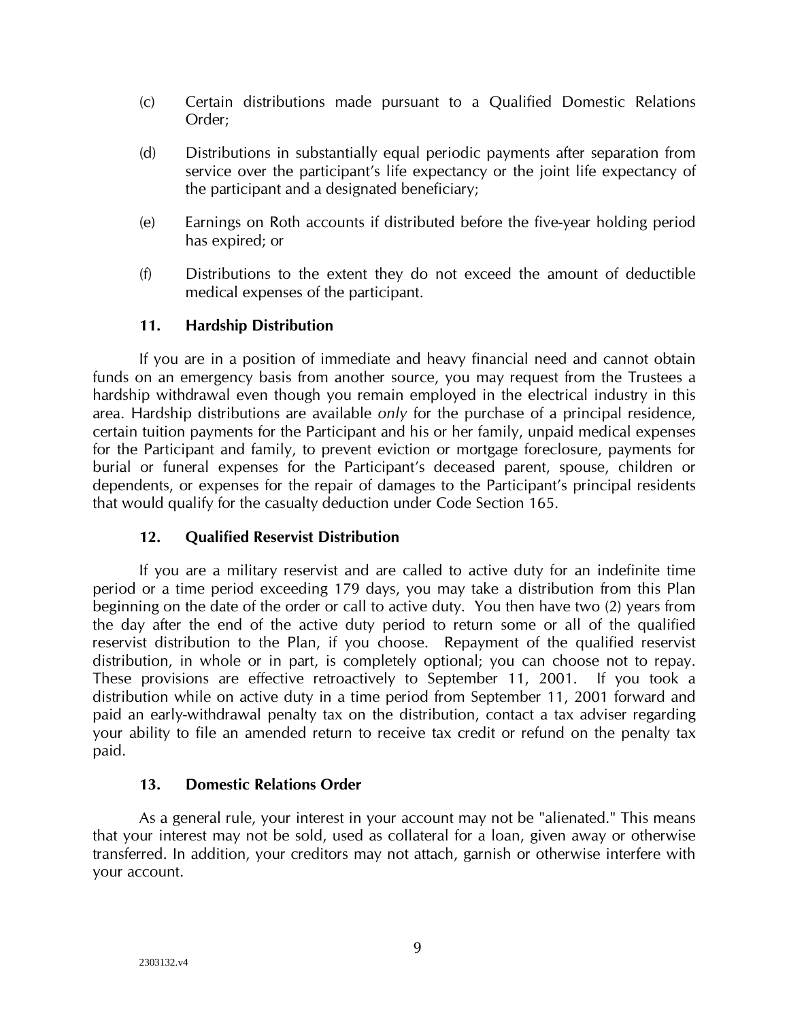- (c) Certain distributions made pursuant to a Qualified Domestic Relations Order;
- (d) Distributions in substantially equal periodic payments after separation from service over the participant's life expectancy or the joint life expectancy of the participant and a designated beneficiary;
- (e) Earnings on Roth accounts if distributed before the five-year holding period has expired; or
- (f) Distributions to the extent they do not exceed the amount of deductible medical expenses of the participant.

## **11. Hardship Distribution**

<span id="page-11-0"></span>If you are in a position of immediate and heavy financial need and cannot obtain funds on an emergency basis from another source, you may request from the Trustees a hardship withdrawal even though you remain employed in the electrical industry in this area. Hardship distributions are available *only* for the purchase of a principal residence, certain tuition payments for the Participant and his or her family, unpaid medical expenses for the Participant and family, to prevent eviction or mortgage foreclosure, payments for burial or funeral expenses for the Participant's deceased parent, spouse, children or dependents, or expenses for the repair of damages to the Participant's principal residents that would qualify for the casualty deduction under Code Section 165.

## **12. Qualified Reservist Distribution**

<span id="page-11-1"></span>If you are a military reservist and are called to active duty for an indefinite time period or a time period exceeding 179 days, you may take a distribution from this Plan beginning on the date of the order or call to active duty. You then have two (2) years from the day after the end of the active duty period to return some or all of the qualified reservist distribution to the Plan, if you choose. Repayment of the qualified reservist distribution, in whole or in part, is completely optional; you can choose not to repay. These provisions are effective retroactively to September 11, 2001. If you took a distribution while on active duty in a time period from September 11, 2001 forward and paid an early-withdrawal penalty tax on the distribution, contact a tax adviser regarding your ability to file an amended return to receive tax credit or refund on the penalty tax paid.

## **13. Domestic Relations Order**

<span id="page-11-2"></span>As a general rule, your interest in your account may not be "alienated." This means that your interest may not be sold, used as collateral for a loan, given away or otherwise transferred. In addition, your creditors may not attach, garnish or otherwise interfere with your account.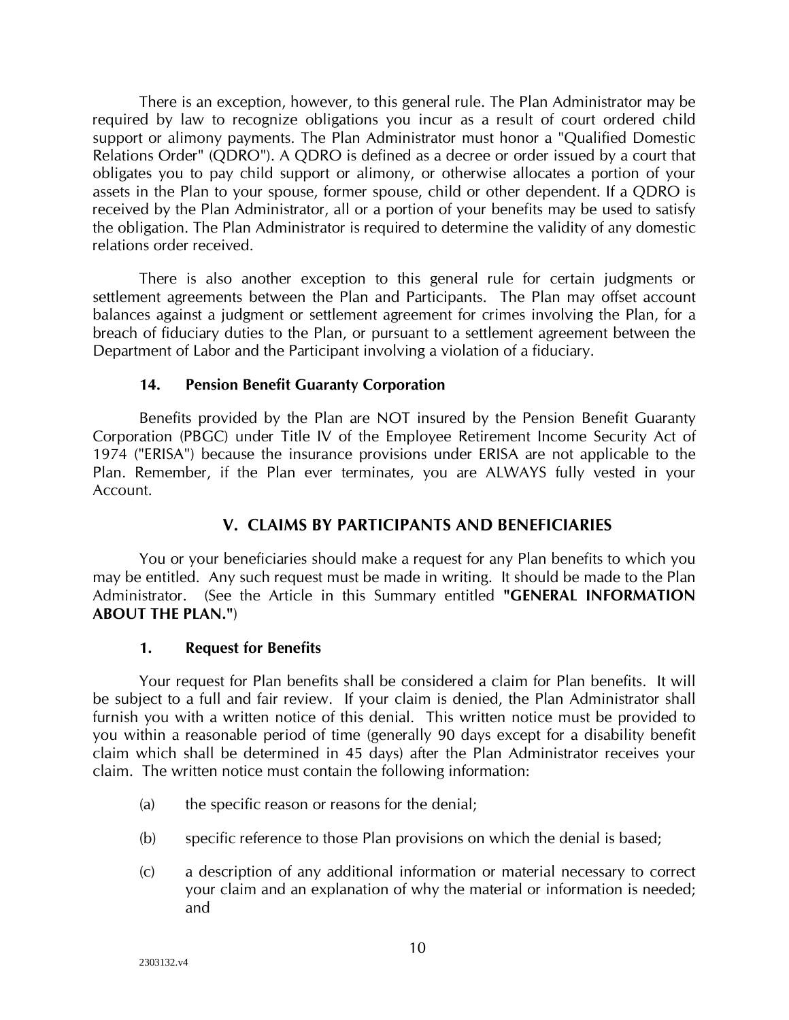There is an exception, however, to this general rule. The Plan Administrator may be required by law to recognize obligations you incur as a result of court ordered child support or alimony payments. The Plan Administrator must honor a "Qualified Domestic Relations Order" (QDRO"). A QDRO is defined as a decree or order issued by a court that obligates you to pay child support or alimony, or otherwise allocates a portion of your assets in the Plan to your spouse, former spouse, child or other dependent. If a QDRO is received by the Plan Administrator, all or a portion of your benefits may be used to satisfy the obligation. The Plan Administrator is required to determine the validity of any domestic relations order received.

There is also another exception to this general rule for certain judgments or settlement agreements between the Plan and Participants. The Plan may offset account balances against a judgment or settlement agreement for crimes involving the Plan, for a breach of fiduciary duties to the Plan, or pursuant to a settlement agreement between the Department of Labor and the Participant involving a violation of a fiduciary.

## **14. Pension Benefit Guaranty Corporation**

<span id="page-12-0"></span>Benefits provided by the Plan are NOT insured by the Pension Benefit Guaranty Corporation (PBGC) under Title IV of the Employee Retirement Income Security Act of 1974 ("ERISA") because the insurance provisions under ERISA are not applicable to the Plan. Remember, if the Plan ever terminates, you are ALWAYS fully vested in your Account.

## **V. CLAIMS BY PARTICIPANTS AND BENEFICIARIES**

<span id="page-12-1"></span>You or your beneficiaries should make a request for any Plan benefits to which you may be entitled. Any such request must be made in writing. It should be made to the Plan Administrator. (See the Article in this Summary entitled **"GENERAL INFORMATION ABOUT THE PLAN."**)

#### **1. Request for Benefits**

<span id="page-12-2"></span>Your request for Plan benefits shall be considered a claim for Plan benefits. It will be subject to a full and fair review. If your claim is denied, the Plan Administrator shall furnish you with a written notice of this denial. This written notice must be provided to you within a reasonable period of time (generally 90 days except for a disability benefit claim which shall be determined in 45 days) after the Plan Administrator receives your claim. The written notice must contain the following information:

- (a) the specific reason or reasons for the denial;
- (b) specific reference to those Plan provisions on which the denial is based;
- (c) a description of any additional information or material necessary to correct your claim and an explanation of why the material or information is needed; and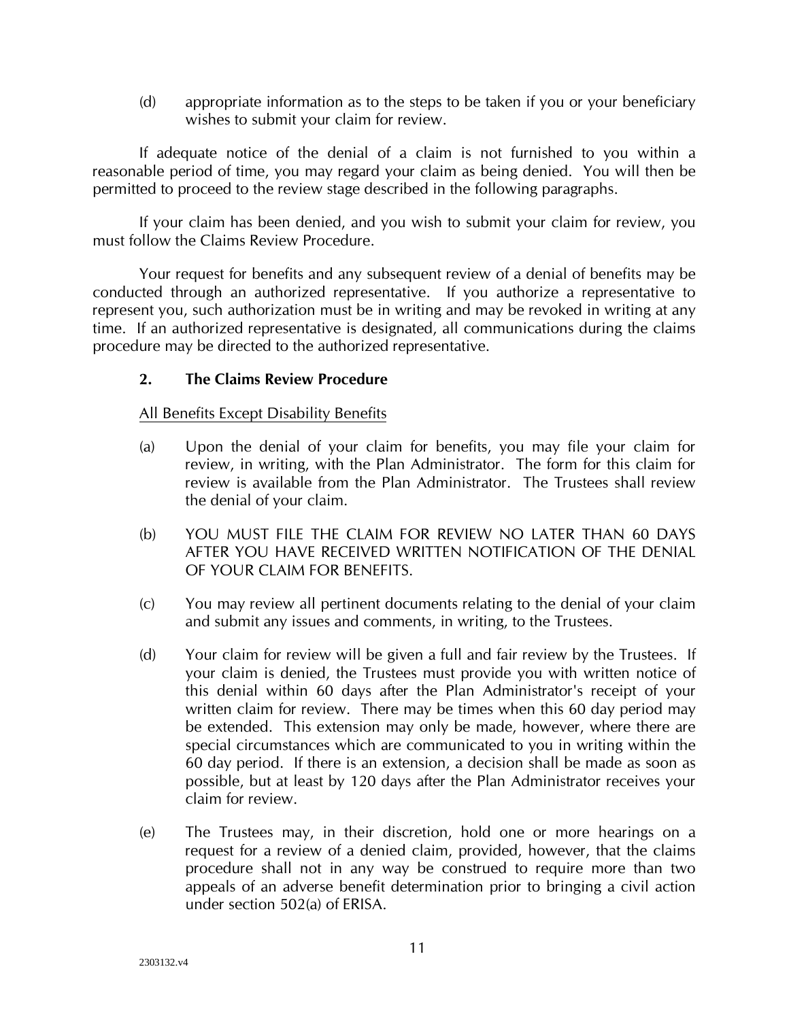(d) appropriate information as to the steps to be taken if you or your beneficiary wishes to submit your claim for review.

If adequate notice of the denial of a claim is not furnished to you within a reasonable period of time, you may regard your claim as being denied. You will then be permitted to proceed to the review stage described in the following paragraphs.

If your claim has been denied, and you wish to submit your claim for review, you must follow the Claims Review Procedure.

Your request for benefits and any subsequent review of a denial of benefits may be conducted through an authorized representative. If you authorize a representative to represent you, such authorization must be in writing and may be revoked in writing at any time. If an authorized representative is designated, all communications during the claims procedure may be directed to the authorized representative.

## <span id="page-13-0"></span>**2. The Claims Review Procedure**

### All Benefits Except Disability Benefits

- (a) Upon the denial of your claim for benefits, you may file your claim for review, in writing, with the Plan Administrator. The form for this claim for review is available from the Plan Administrator. The Trustees shall review the denial of your claim.
- (b) YOU MUST FILE THE CLAIM FOR REVIEW NO LATER THAN 60 DAYS AFTER YOU HAVE RECEIVED WRITTEN NOTIFICATION OF THE DENIAL OF YOUR CLAIM FOR BENEFITS.
- (c) You may review all pertinent documents relating to the denial of your claim and submit any issues and comments, in writing, to the Trustees.
- (d) Your claim for review will be given a full and fair review by the Trustees. If your claim is denied, the Trustees must provide you with written notice of this denial within 60 days after the Plan Administrator's receipt of your written claim for review. There may be times when this 60 day period may be extended. This extension may only be made, however, where there are special circumstances which are communicated to you in writing within the 60 day period. If there is an extension, a decision shall be made as soon as possible, but at least by 120 days after the Plan Administrator receives your claim for review.
- (e) The Trustees may, in their discretion, hold one or more hearings on a request for a review of a denied claim, provided, however, that the claims procedure shall not in any way be construed to require more than two appeals of an adverse benefit determination prior to bringing a civil action under section 502(a) of ERISA.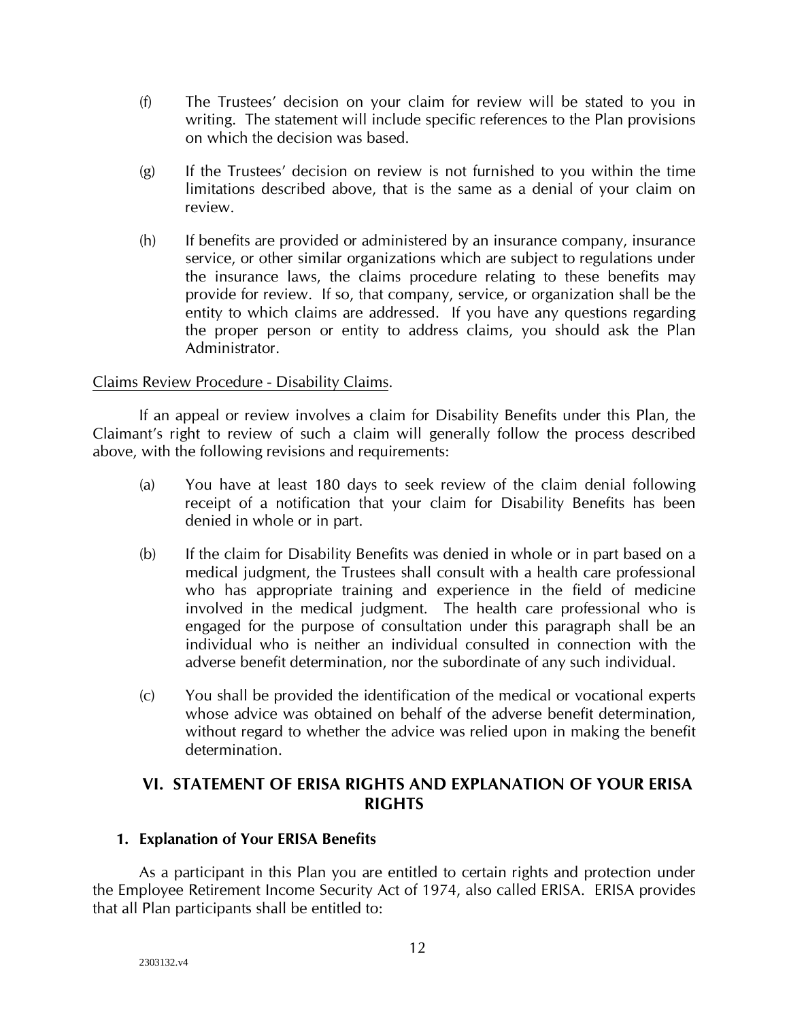- (f) The Trustees' decision on your claim for review will be stated to you in writing. The statement will include specific references to the Plan provisions on which the decision was based.
- (g) If the Trustees' decision on review is not furnished to you within the time limitations described above, that is the same as a denial of your claim on review.
- (h) If benefits are provided or administered by an insurance company, insurance service, or other similar organizations which are subject to regulations under the insurance laws, the claims procedure relating to these benefits may provide for review. If so, that company, service, or organization shall be the entity to which claims are addressed. If you have any questions regarding the proper person or entity to address claims, you should ask the Plan Administrator.

## Claims Review Procedure - Disability Claims.

If an appeal or review involves a claim for Disability Benefits under this Plan, the Claimant's right to review of such a claim will generally follow the process described above, with the following revisions and requirements:

- (a) You have at least 180 days to seek review of the claim denial following receipt of a notification that your claim for Disability Benefits has been denied in whole or in part.
- (b) If the claim for Disability Benefits was denied in whole or in part based on a medical judgment, the Trustees shall consult with a health care professional who has appropriate training and experience in the field of medicine involved in the medical judgment. The health care professional who is engaged for the purpose of consultation under this paragraph shall be an individual who is neither an individual consulted in connection with the adverse benefit determination, nor the subordinate of any such individual.
- (c) You shall be provided the identification of the medical or vocational experts whose advice was obtained on behalf of the adverse benefit determination, without regard to whether the advice was relied upon in making the benefit determination.

## <span id="page-14-0"></span>**VI. STATEMENT OF ERISA RIGHTS AND EXPLANATION OF YOUR ERISA RIGHTS**

## <span id="page-14-1"></span>**1. Explanation of Your ERISA Benefits**

As a participant in this Plan you are entitled to certain rights and protection under the Employee Retirement Income Security Act of 1974, also called ERISA. ERISA provides that all Plan participants shall be entitled to: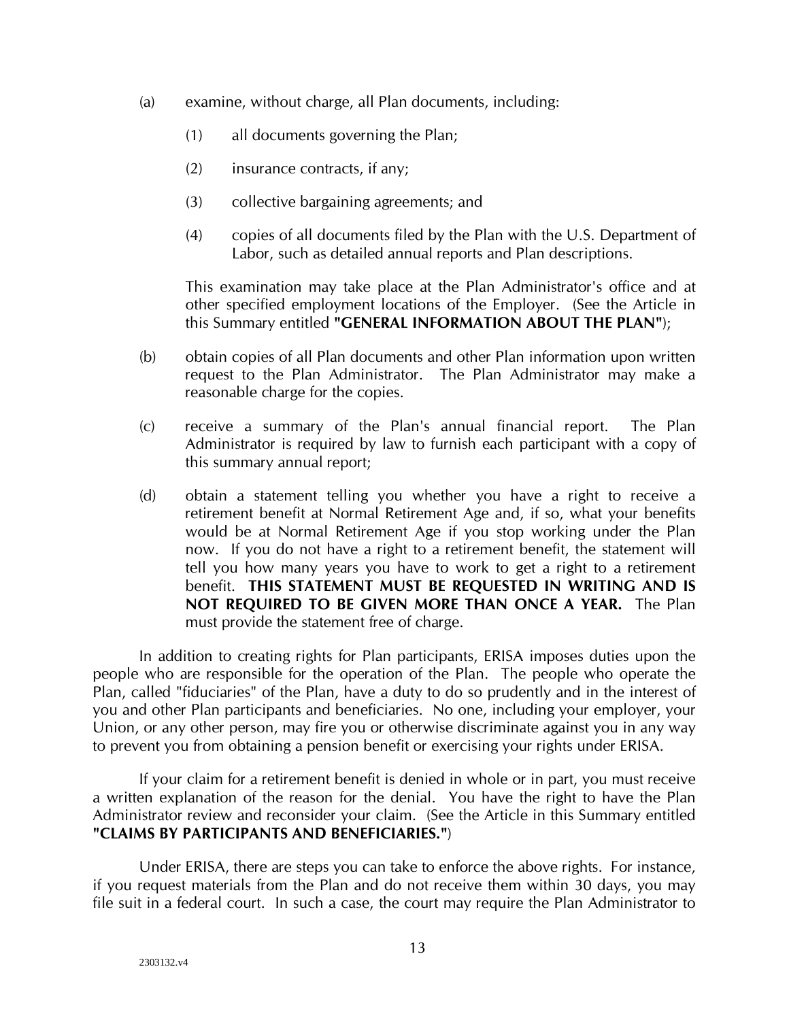- (a) examine, without charge, all Plan documents, including:
	- (1) all documents governing the Plan;
	- (2) insurance contracts, if any;
	- (3) collective bargaining agreements; and
	- (4) copies of all documents filed by the Plan with the U.S. Department of Labor, such as detailed annual reports and Plan descriptions.

This examination may take place at the Plan Administrator's office and at other specified employment locations of the Employer. (See the Article in this Summary entitled **"GENERAL INFORMATION ABOUT THE PLAN"**);

- (b) obtain copies of all Plan documents and other Plan information upon written request to the Plan Administrator. The Plan Administrator may make a reasonable charge for the copies.
- (c) receive a summary of the Plan's annual financial report. The Plan Administrator is required by law to furnish each participant with a copy of this summary annual report;
- (d) obtain a statement telling you whether you have a right to receive a retirement benefit at Normal Retirement Age and, if so, what your benefits would be at Normal Retirement Age if you stop working under the Plan now. If you do not have a right to a retirement benefit, the statement will tell you how many years you have to work to get a right to a retirement benefit. **THIS STATEMENT MUST BE REQUESTED IN WRITING AND IS NOT REQUIRED TO BE GIVEN MORE THAN ONCE A YEAR.** The Plan must provide the statement free of charge.

In addition to creating rights for Plan participants, ERISA imposes duties upon the people who are responsible for the operation of the Plan. The people who operate the Plan, called "fiduciaries" of the Plan, have a duty to do so prudently and in the interest of you and other Plan participants and beneficiaries. No one, including your employer, your Union, or any other person, may fire you or otherwise discriminate against you in any way to prevent you from obtaining a pension benefit or exercising your rights under ERISA.

If your claim for a retirement benefit is denied in whole or in part, you must receive a written explanation of the reason for the denial. You have the right to have the Plan Administrator review and reconsider your claim. (See the Article in this Summary entitled **"CLAIMS BY PARTICIPANTS AND BENEFICIARIES."**)

Under ERISA, there are steps you can take to enforce the above rights. For instance, if you request materials from the Plan and do not receive them within 30 days, you may file suit in a federal court. In such a case, the court may require the Plan Administrator to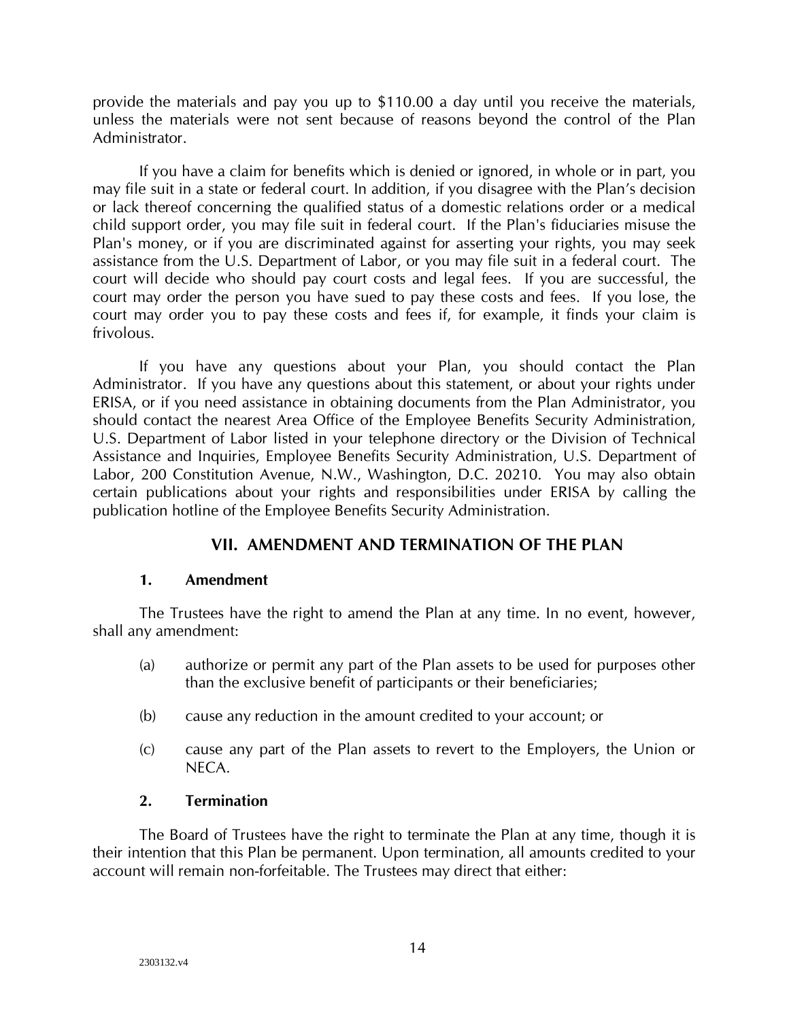provide the materials and pay you up to \$110.00 a day until you receive the materials, unless the materials were not sent because of reasons beyond the control of the Plan Administrator.

If you have a claim for benefits which is denied or ignored, in whole or in part, you may file suit in a state or federal court. In addition, if you disagree with the Plan's decision or lack thereof concerning the qualified status of a domestic relations order or a medical child support order, you may file suit in federal court. If the Plan's fiduciaries misuse the Plan's money, or if you are discriminated against for asserting your rights, you may seek assistance from the U.S. Department of Labor, or you may file suit in a federal court. The court will decide who should pay court costs and legal fees. If you are successful, the court may order the person you have sued to pay these costs and fees. If you lose, the court may order you to pay these costs and fees if, for example, it finds your claim is frivolous.

If you have any questions about your Plan, you should contact the Plan Administrator. If you have any questions about this statement, or about your rights under ERISA, or if you need assistance in obtaining documents from the Plan Administrator, you should contact the nearest Area Office of the Employee Benefits Security Administration, U.S. Department of Labor listed in your telephone directory or the Division of Technical Assistance and Inquiries, Employee Benefits Security Administration, U.S. Department of Labor, 200 Constitution Avenue, N.W., Washington, D.C. 20210. You may also obtain certain publications about your rights and responsibilities under ERISA by calling the publication hotline of the Employee Benefits Security Administration.

## **VII. AMENDMENT AND TERMINATION OF THE PLAN**

## <span id="page-16-0"></span>**1. Amendment**

<span id="page-16-1"></span>The Trustees have the right to amend the Plan at any time. In no event, however, shall any amendment:

- (a) authorize or permit any part of the Plan assets to be used for purposes other than the exclusive benefit of participants or their beneficiaries;
- (b) cause any reduction in the amount credited to your account; or
- (c) cause any part of the Plan assets to revert to the Employers, the Union or NECA.

## **2. Termination**

<span id="page-16-2"></span>The Board of Trustees have the right to terminate the Plan at any time, though it is their intention that this Plan be permanent. Upon termination, all amounts credited to your account will remain non-forfeitable. The Trustees may direct that either: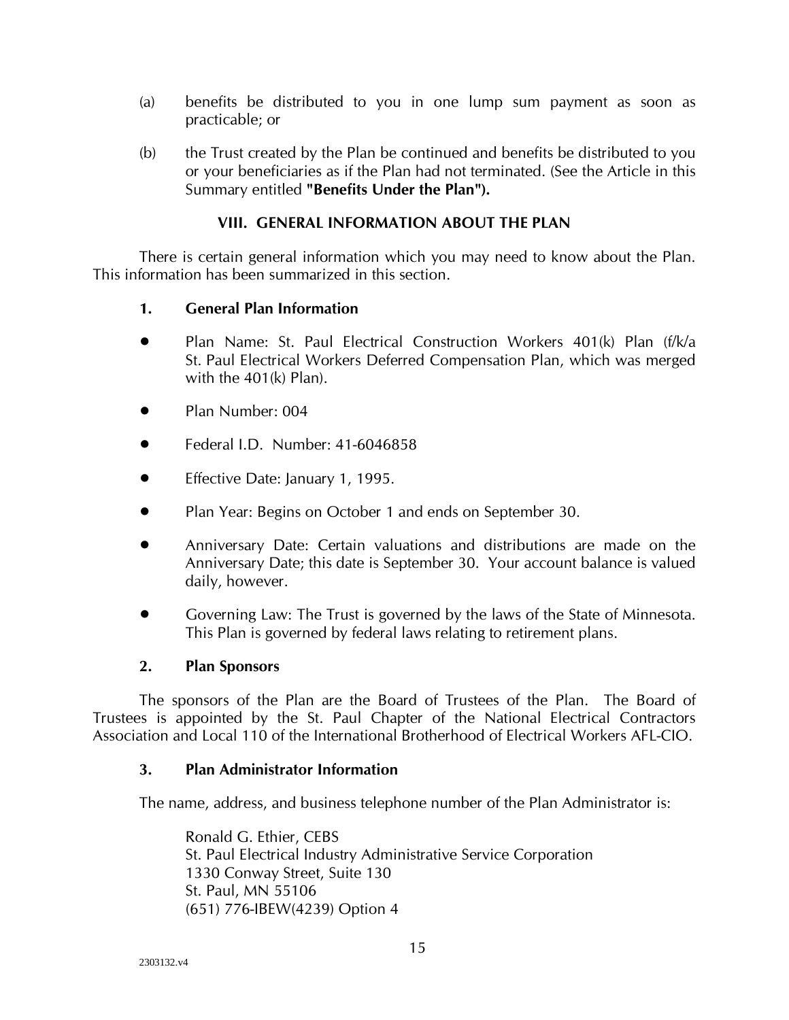- (a) benefits be distributed to you in one lump sum payment as soon as practicable; or
- (b) the Trust created by the Plan be continued and benefits be distributed to you or your beneficiaries as if the Plan had not terminated. (See the Article in this Summary entitled **"Benefits Under the Plan").**

## **VIII. GENERAL INFORMATION ABOUT THE PLAN**

<span id="page-17-0"></span>There is certain general information which you may need to know about the Plan. This information has been summarized in this section.

## <span id="page-17-1"></span>**1. General Plan Information**

- Plan Name: St. Paul Electrical Construction Workers 401(k) Plan (f/k/a St. Paul Electrical Workers Deferred Compensation Plan, which was merged with the 401(k) Plan).
- Plan Number: 004
- Federal I.D. Number: 41-6046858
- Effective Date: January 1, 1995.
- Plan Year: Begins on October 1 and ends on September 30.
- Anniversary Date: Certain valuations and distributions are made on the Anniversary Date; this date is September 30. Your account balance is valued daily, however.
- Governing Law: The Trust is governed by the laws of the State of Minnesota. This Plan is governed by federal laws relating to retirement plans.

#### **2. Plan Sponsors**

<span id="page-17-2"></span>The sponsors of the Plan are the Board of Trustees of the Plan. The Board of Trustees is appointed by the St. Paul Chapter of the National Electrical Contractors Association and Local 110 of the International Brotherhood of Electrical Workers AFL-CIO.

#### <span id="page-17-3"></span>**3. Plan Administrator Information**

The name, address, and business telephone number of the Plan Administrator is:

Ronald G. Ethier, CEBS St. Paul Electrical Industry Administrative Service Corporation 1330 Conway Street, Suite 130 St. Paul, MN 55106 (651) 776-IBEW(4239) Option 4